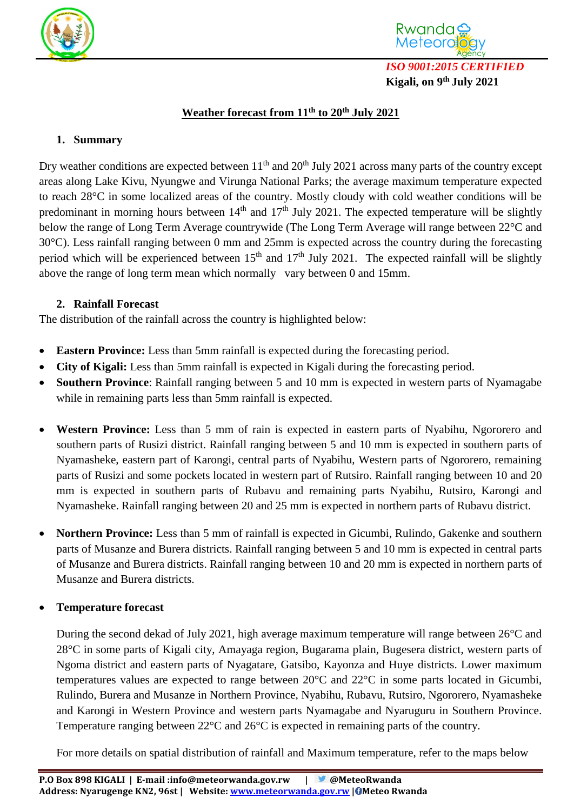



## **Weather forecast from 11 th to 20 th July 2021**

## **1. Summary**

Dry weather conditions are expected between  $11<sup>th</sup>$  and  $20<sup>th</sup>$  July 2021 across many parts of the country except areas along Lake Kivu, Nyungwe and Virunga National Parks; the average maximum temperature expected to reach 28°C in some localized areas of the country. Mostly cloudy with cold weather conditions will be predominant in morning hours between  $14<sup>th</sup>$  and  $17<sup>th</sup>$  July 2021. The expected temperature will be slightly below the range of Long Term Average countrywide (The Long Term Average will range between 22°C and 30°C). Less rainfall ranging between 0 mm and 25mm is expected across the country during the forecasting period which will be experienced between  $15<sup>th</sup>$  and  $17<sup>th</sup>$  July 2021. The expected rainfall will be slightly above the range of long term mean which normally vary between 0 and 15mm.

## **2. Rainfall Forecast**

The distribution of the rainfall across the country is highlighted below:

- **Eastern Province:** Less than 5mm rainfall is expected during the forecasting period.
- **City of Kigali:** Less than 5mm rainfall is expected in Kigali during the forecasting period.
- **Southern Province**: Rainfall ranging between 5 and 10 mm is expected in western parts of Nyamagabe while in remaining parts less than 5mm rainfall is expected.
- **Western Province:** Less than 5 mm of rain is expected in eastern parts of Nyabihu, Ngororero and southern parts of Rusizi district. Rainfall ranging between 5 and 10 mm is expected in southern parts of Nyamasheke, eastern part of Karongi, central parts of Nyabihu, Western parts of Ngororero, remaining parts of Rusizi and some pockets located in western part of Rutsiro. Rainfall ranging between 10 and 20 mm is expected in southern parts of Rubavu and remaining parts Nyabihu, Rutsiro, Karongi and Nyamasheke. Rainfall ranging between 20 and 25 mm is expected in northern parts of Rubavu district.
- **Northern Province:** Less than 5 mm of rainfall is expected in Gicumbi, Rulindo, Gakenke and southern parts of Musanze and Burera districts. Rainfall ranging between 5 and 10 mm is expected in central parts of Musanze and Burera districts. Rainfall ranging between 10 and 20 mm is expected in northern parts of Musanze and Burera districts.

## **Temperature forecast**

During the second dekad of July 2021, high average maximum temperature will range between 26°C and 28°C in some parts of Kigali city, Amayaga region, Bugarama plain, Bugesera district, western parts of Ngoma district and eastern parts of Nyagatare, Gatsibo, Kayonza and Huye districts. Lower maximum temperatures values are expected to range between 20°C and 22°C in some parts located in Gicumbi, Rulindo, Burera and Musanze in Northern Province, Nyabihu, Rubavu, Rutsiro, Ngororero, Nyamasheke and Karongi in Western Province and western parts Nyamagabe and Nyaruguru in Southern Province. Temperature ranging between 22°C and 26°C is expected in remaining parts of the country.

For more details on spatial distribution of rainfall and Maximum temperature, refer to the maps below